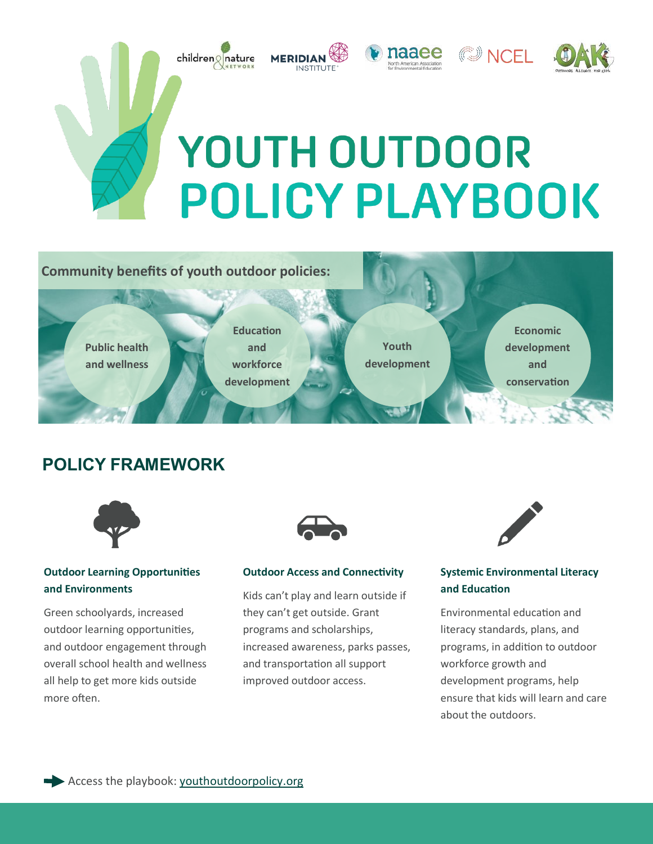

## **Community benefits of youth outdoor policies:**



## **POLICY FRAMEWORK**



### **Outdoor Learning Opportunities and Environments**

Green schoolyards, increased outdoor learning opportunities, and outdoor engagement through overall school health and wellness all help to get more kids outside more often.



### **Outdoor Access and Connectivity**

Kids can't play and learn outside if they can't get outside. Grant programs and scholarships, increased awareness, parks passes, and transportation all support improved outdoor access.



### **Systemic Environmental Literacy and Education**

Environmental education and literacy standards, plans, and programs, in addition to outdoor workforce growth and development programs, help ensure that kids will learn and care about the outdoors.